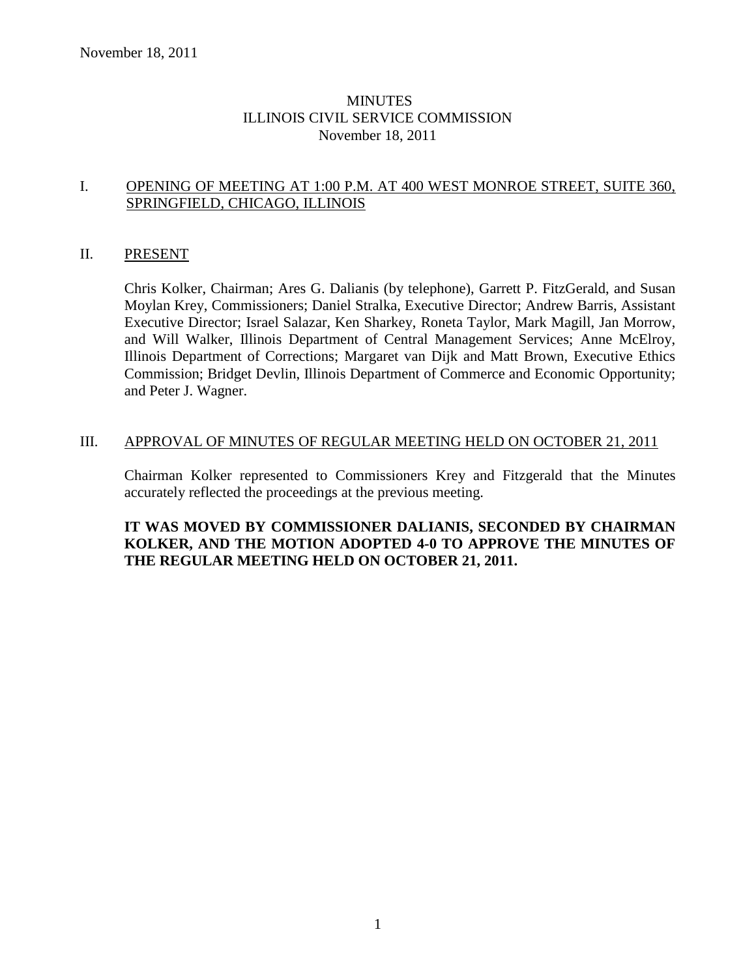## MINUTES ILLINOIS CIVIL SERVICE COMMISSION November 18, 2011

## I. OPENING OF MEETING AT 1:00 P.M. AT 400 WEST MONROE STREET, SUITE 360, SPRINGFIELD, CHICAGO, ILLINOIS

## II. PRESENT

Chris Kolker, Chairman; Ares G. Dalianis (by telephone), Garrett P. FitzGerald, and Susan Moylan Krey, Commissioners; Daniel Stralka, Executive Director; Andrew Barris, Assistant Executive Director; Israel Salazar, Ken Sharkey, Roneta Taylor, Mark Magill, Jan Morrow, and Will Walker, Illinois Department of Central Management Services; Anne McElroy, Illinois Department of Corrections; Margaret van Dijk and Matt Brown, Executive Ethics Commission; Bridget Devlin, Illinois Department of Commerce and Economic Opportunity; and Peter J. Wagner.

### III. APPROVAL OF MINUTES OF REGULAR MEETING HELD ON OCTOBER 21, 2011

Chairman Kolker represented to Commissioners Krey and Fitzgerald that the Minutes accurately reflected the proceedings at the previous meeting.

## **IT WAS MOVED BY COMMISSIONER DALIANIS, SECONDED BY CHAIRMAN KOLKER, AND THE MOTION ADOPTED 4-0 TO APPROVE THE MINUTES OF THE REGULAR MEETING HELD ON OCTOBER 21, 2011.**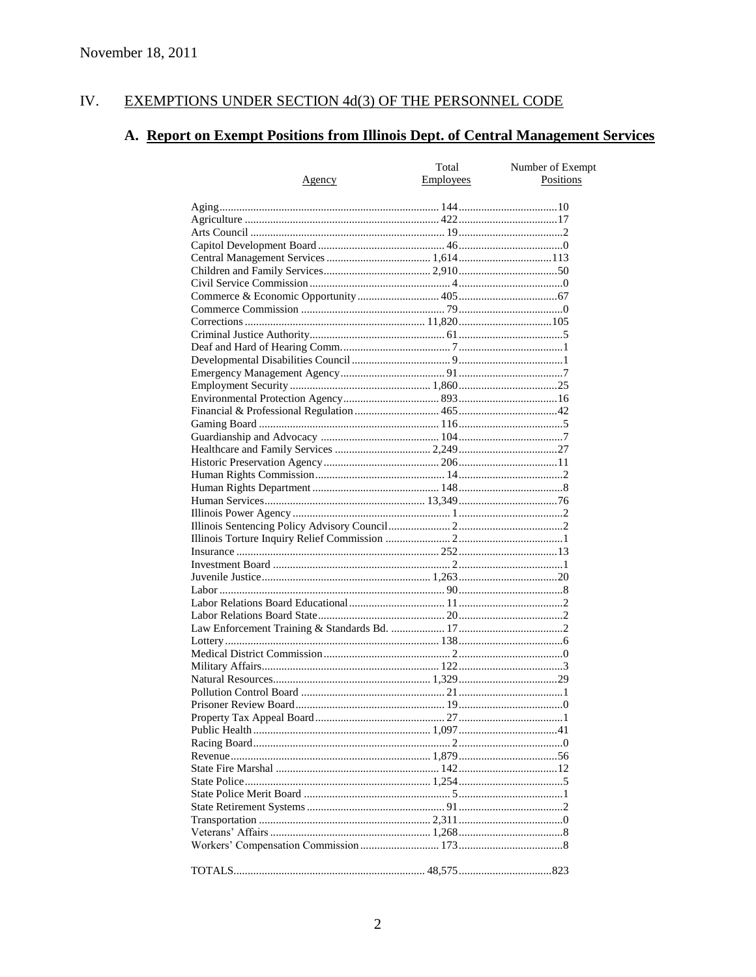#### IV. EXEMPTIONS UNDER SECTION 4d(3) OF THE PERSONNEL CODE

# A. Report on Exempt Positions from Illinois Dept. of Central Management Services

|        | Total            | Number of Exempt |
|--------|------------------|------------------|
| Agency | <b>Employees</b> | Positions        |
|        |                  |                  |
|        |                  |                  |
|        |                  |                  |
|        |                  |                  |
|        |                  |                  |
|        |                  |                  |
|        |                  |                  |
|        |                  |                  |
|        |                  |                  |
|        |                  |                  |
|        |                  |                  |
|        |                  |                  |
|        |                  |                  |
|        |                  |                  |
|        |                  |                  |
|        |                  |                  |
|        |                  |                  |
|        |                  |                  |
|        |                  |                  |
|        |                  |                  |
|        |                  |                  |
|        |                  |                  |
|        |                  |                  |
|        |                  |                  |
|        |                  |                  |
|        |                  |                  |
|        |                  |                  |
|        |                  |                  |
|        |                  |                  |
|        |                  |                  |
|        |                  |                  |
|        |                  |                  |
|        |                  |                  |
|        |                  |                  |
|        |                  |                  |
|        |                  |                  |
|        |                  |                  |
|        |                  |                  |
|        |                  |                  |
|        |                  |                  |
|        |                  |                  |
|        |                  |                  |
|        |                  |                  |
|        |                  |                  |
|        |                  |                  |
|        |                  |                  |
|        |                  |                  |
|        |                  |                  |
|        |                  |                  |
|        |                  |                  |
|        |                  |                  |
|        |                  |                  |
|        |                  |                  |
|        |                  |                  |
|        |                  |                  |
|        |                  |                  |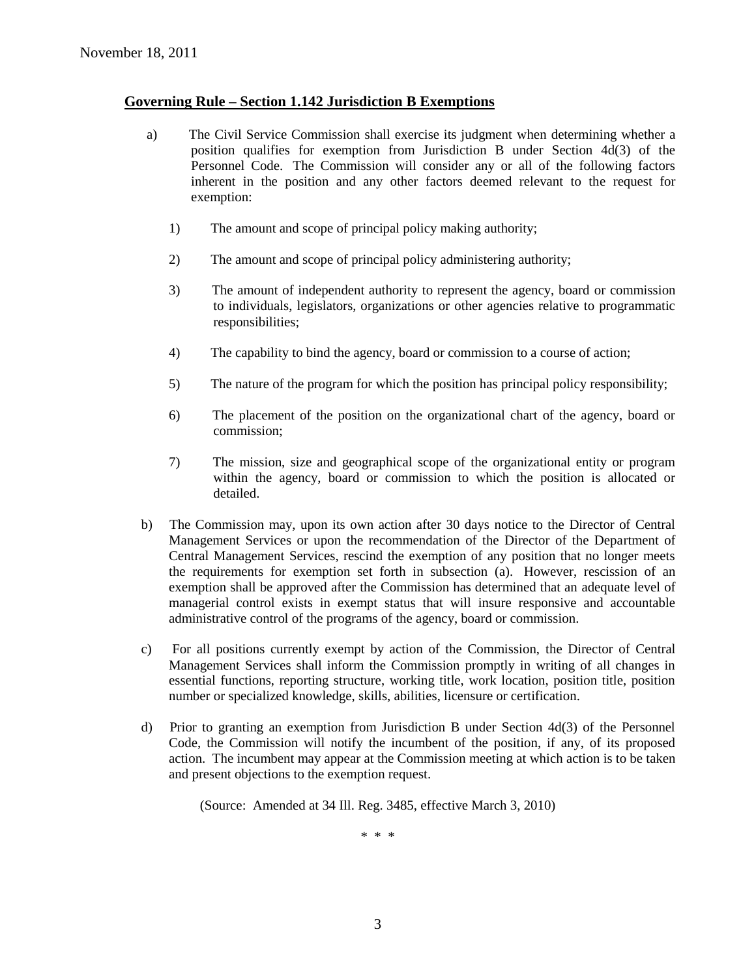### **Governing Rule – Section 1.142 Jurisdiction B Exemptions**

- a) The Civil Service Commission shall exercise its judgment when determining whether a position qualifies for exemption from Jurisdiction B under Section 4d(3) of the Personnel Code. The Commission will consider any or all of the following factors inherent in the position and any other factors deemed relevant to the request for exemption:
	- 1) The amount and scope of principal policy making authority;
	- 2) The amount and scope of principal policy administering authority;
	- 3) The amount of independent authority to represent the agency, board or commission to individuals, legislators, organizations or other agencies relative to programmatic responsibilities;
	- 4) The capability to bind the agency, board or commission to a course of action;
	- 5) The nature of the program for which the position has principal policy responsibility;
	- 6) The placement of the position on the organizational chart of the agency, board or commission;
	- 7) The mission, size and geographical scope of the organizational entity or program within the agency, board or commission to which the position is allocated or detailed.
- b) The Commission may, upon its own action after 30 days notice to the Director of Central Management Services or upon the recommendation of the Director of the Department of Central Management Services, rescind the exemption of any position that no longer meets the requirements for exemption set forth in subsection (a). However, rescission of an exemption shall be approved after the Commission has determined that an adequate level of managerial control exists in exempt status that will insure responsive and accountable administrative control of the programs of the agency, board or commission.
- c) For all positions currently exempt by action of the Commission, the Director of Central Management Services shall inform the Commission promptly in writing of all changes in essential functions, reporting structure, working title, work location, position title, position number or specialized knowledge, skills, abilities, licensure or certification.
- d) Prior to granting an exemption from Jurisdiction B under Section 4d(3) of the Personnel Code, the Commission will notify the incumbent of the position, if any, of its proposed action. The incumbent may appear at the Commission meeting at which action is to be taken and present objections to the exemption request.

(Source: Amended at 34 Ill. Reg. 3485, effective March 3, 2010)

\* \* \*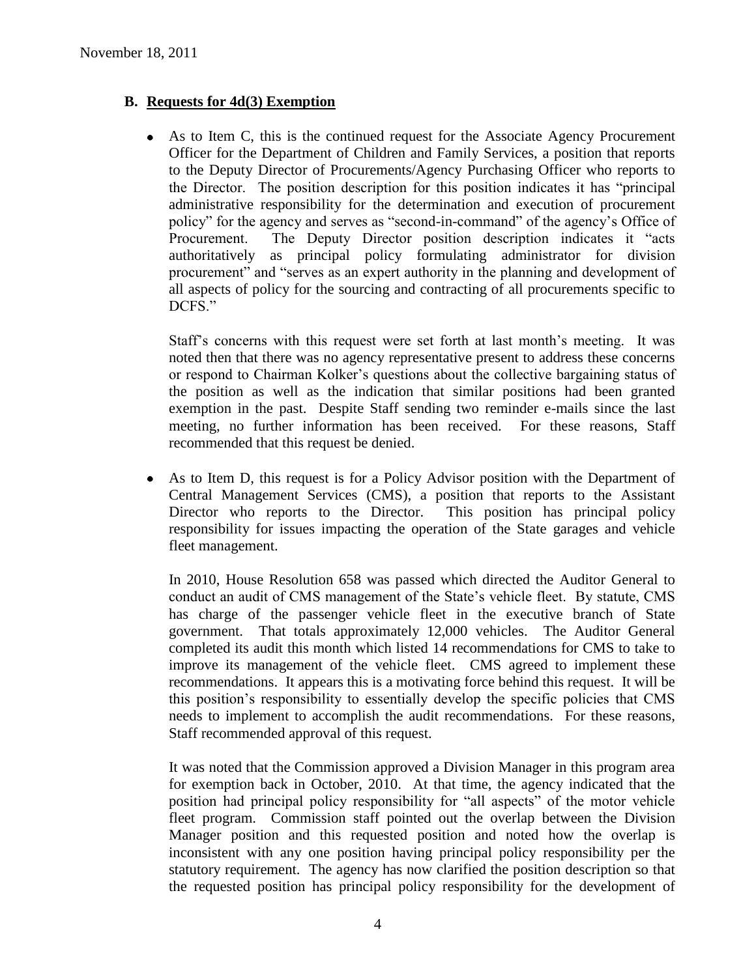# **B. Requests for 4d(3) Exemption**

As to Item C, this is the continued request for the Associate Agency Procurement Officer for the Department of Children and Family Services, a position that reports to the Deputy Director of Procurements/Agency Purchasing Officer who reports to the Director. The position description for this position indicates it has "principal administrative responsibility for the determination and execution of procurement policy" for the agency and serves as "second-in-command" of the agency's Office of Procurement. The Deputy Director position description indicates it "acts authoritatively as principal policy formulating administrator for division procurement" and "serves as an expert authority in the planning and development of all aspects of policy for the sourcing and contracting of all procurements specific to DCFS."

Staff's concerns with this request were set forth at last month's meeting. It was noted then that there was no agency representative present to address these concerns or respond to Chairman Kolker's questions about the collective bargaining status of the position as well as the indication that similar positions had been granted exemption in the past. Despite Staff sending two reminder e-mails since the last meeting, no further information has been received. For these reasons, Staff recommended that this request be denied.

As to Item D, this request is for a Policy Advisor position with the Department of Central Management Services (CMS), a position that reports to the Assistant Director who reports to the Director. This position has principal policy responsibility for issues impacting the operation of the State garages and vehicle fleet management.

In 2010, House Resolution 658 was passed which directed the Auditor General to conduct an audit of CMS management of the State's vehicle fleet. By statute, CMS has charge of the passenger vehicle fleet in the executive branch of State government. That totals approximately 12,000 vehicles. The Auditor General completed its audit this month which listed 14 recommendations for CMS to take to improve its management of the vehicle fleet. CMS agreed to implement these recommendations. It appears this is a motivating force behind this request. It will be this position's responsibility to essentially develop the specific policies that CMS needs to implement to accomplish the audit recommendations. For these reasons, Staff recommended approval of this request.

It was noted that the Commission approved a Division Manager in this program area for exemption back in October, 2010. At that time, the agency indicated that the position had principal policy responsibility for "all aspects" of the motor vehicle fleet program. Commission staff pointed out the overlap between the Division Manager position and this requested position and noted how the overlap is inconsistent with any one position having principal policy responsibility per the statutory requirement. The agency has now clarified the position description so that the requested position has principal policy responsibility for the development of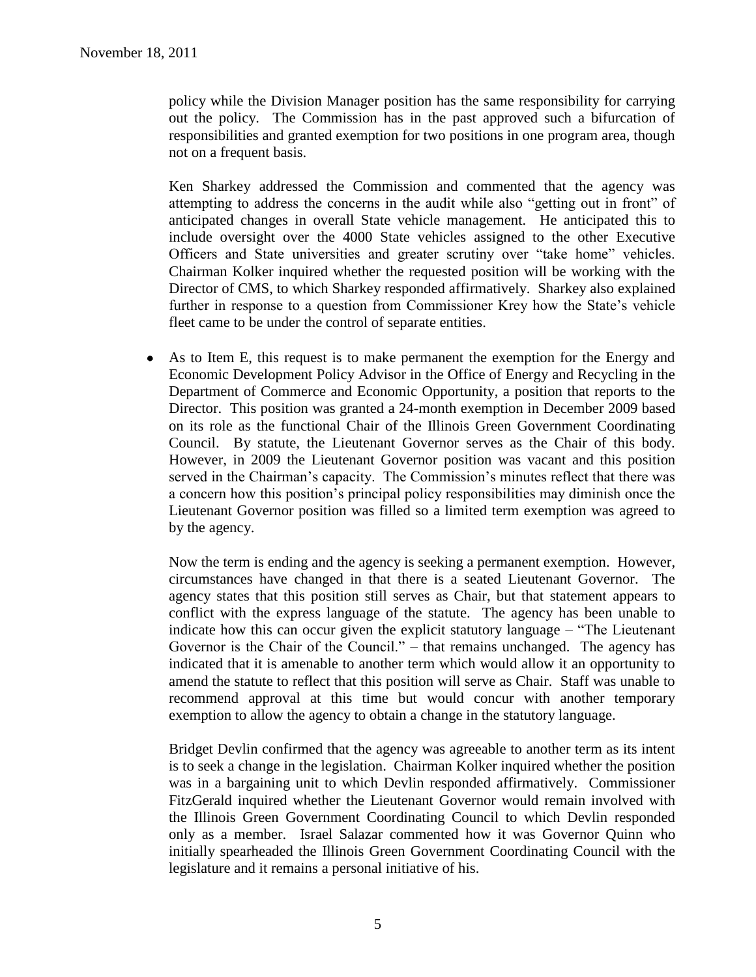policy while the Division Manager position has the same responsibility for carrying out the policy. The Commission has in the past approved such a bifurcation of responsibilities and granted exemption for two positions in one program area, though not on a frequent basis.

Ken Sharkey addressed the Commission and commented that the agency was attempting to address the concerns in the audit while also "getting out in front" of anticipated changes in overall State vehicle management. He anticipated this to include oversight over the 4000 State vehicles assigned to the other Executive Officers and State universities and greater scrutiny over "take home" vehicles. Chairman Kolker inquired whether the requested position will be working with the Director of CMS, to which Sharkey responded affirmatively. Sharkey also explained further in response to a question from Commissioner Krey how the State's vehicle fleet came to be under the control of separate entities.

As to Item E, this request is to make permanent the exemption for the Energy and  $\bullet$ Economic Development Policy Advisor in the Office of Energy and Recycling in the Department of Commerce and Economic Opportunity, a position that reports to the Director. This position was granted a 24-month exemption in December 2009 based on its role as the functional Chair of the Illinois Green Government Coordinating Council. By statute, the Lieutenant Governor serves as the Chair of this body. However, in 2009 the Lieutenant Governor position was vacant and this position served in the Chairman's capacity. The Commission's minutes reflect that there was a concern how this position's principal policy responsibilities may diminish once the Lieutenant Governor position was filled so a limited term exemption was agreed to by the agency.

Now the term is ending and the agency is seeking a permanent exemption. However, circumstances have changed in that there is a seated Lieutenant Governor. The agency states that this position still serves as Chair, but that statement appears to conflict with the express language of the statute. The agency has been unable to indicate how this can occur given the explicit statutory language – "The Lieutenant Governor is the Chair of the Council." – that remains unchanged. The agency has indicated that it is amenable to another term which would allow it an opportunity to amend the statute to reflect that this position will serve as Chair. Staff was unable to recommend approval at this time but would concur with another temporary exemption to allow the agency to obtain a change in the statutory language.

Bridget Devlin confirmed that the agency was agreeable to another term as its intent is to seek a change in the legislation. Chairman Kolker inquired whether the position was in a bargaining unit to which Devlin responded affirmatively. Commissioner FitzGerald inquired whether the Lieutenant Governor would remain involved with the Illinois Green Government Coordinating Council to which Devlin responded only as a member. Israel Salazar commented how it was Governor Quinn who initially spearheaded the Illinois Green Government Coordinating Council with the legislature and it remains a personal initiative of his.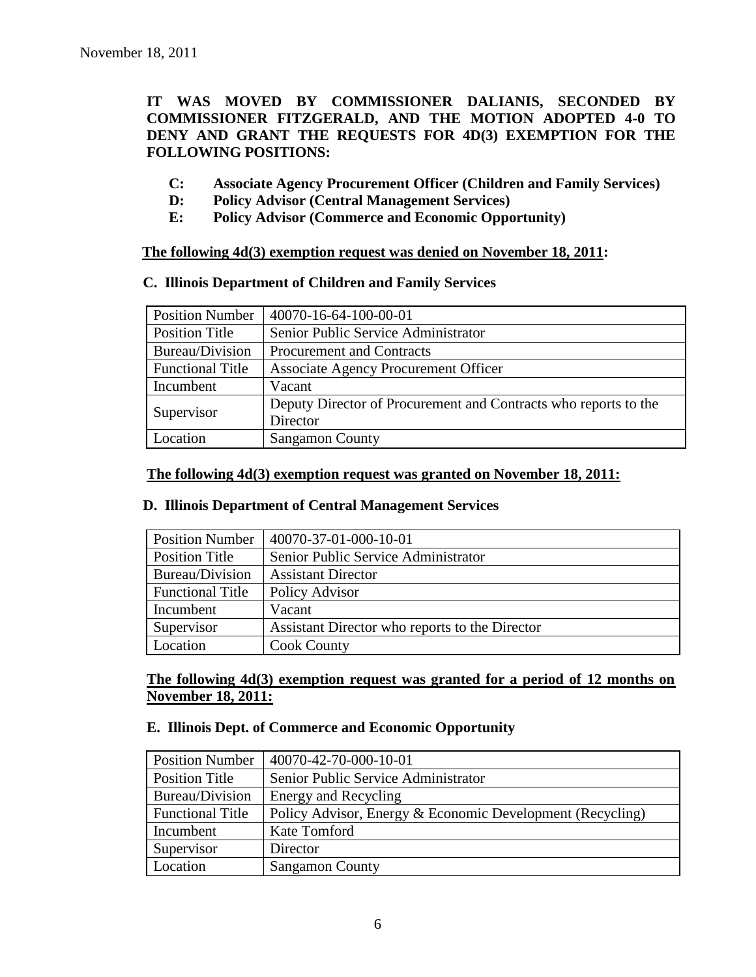## **IT WAS MOVED BY COMMISSIONER DALIANIS, SECONDED BY COMMISSIONER FITZGERALD, AND THE MOTION ADOPTED 4-0 TO DENY AND GRANT THE REQUESTS FOR 4D(3) EXEMPTION FOR THE FOLLOWING POSITIONS:**

- **C: Associate Agency Procurement Officer (Children and Family Services)**
- **D: Policy Advisor (Central Management Services)**
- **E: Policy Advisor (Commerce and Economic Opportunity)**

**The following 4d(3) exemption request was denied on November 18, 2011:**

#### **C. Illinois Department of Children and Family Services**

| <b>Position Number</b>  | 40070-16-64-100-00-01                                           |
|-------------------------|-----------------------------------------------------------------|
| <b>Position Title</b>   | Senior Public Service Administrator                             |
| Bureau/Division         | Procurement and Contracts                                       |
| <b>Functional Title</b> | <b>Associate Agency Procurement Officer</b>                     |
| Incumbent               | Vacant                                                          |
| Supervisor              | Deputy Director of Procurement and Contracts who reports to the |
|                         | Director                                                        |
| Location                | <b>Sangamon County</b>                                          |

#### **The following 4d(3) exemption request was granted on November 18, 2011:**

### **D. Illinois Department of Central Management Services**

| <b>Position Number</b>  | 40070-37-01-000-10-01                          |
|-------------------------|------------------------------------------------|
| <b>Position Title</b>   | Senior Public Service Administrator            |
| Bureau/Division         | <b>Assistant Director</b>                      |
| <b>Functional Title</b> | Policy Advisor                                 |
| Incumbent               | Vacant                                         |
| Supervisor              | Assistant Director who reports to the Director |
| Location                | <b>Cook County</b>                             |

**The following 4d(3) exemption request was granted for a period of 12 months on November 18, 2011:**

### **E. Illinois Dept. of Commerce and Economic Opportunity**

| <b>Position Number</b>  | 40070-42-70-000-10-01                                     |
|-------------------------|-----------------------------------------------------------|
| Position Title          | Senior Public Service Administrator                       |
| Bureau/Division         | Energy and Recycling                                      |
| <b>Functional Title</b> | Policy Advisor, Energy & Economic Development (Recycling) |
| Incumbent               | Kate Tomford                                              |
| Supervisor              | Director                                                  |
| Location                | <b>Sangamon County</b>                                    |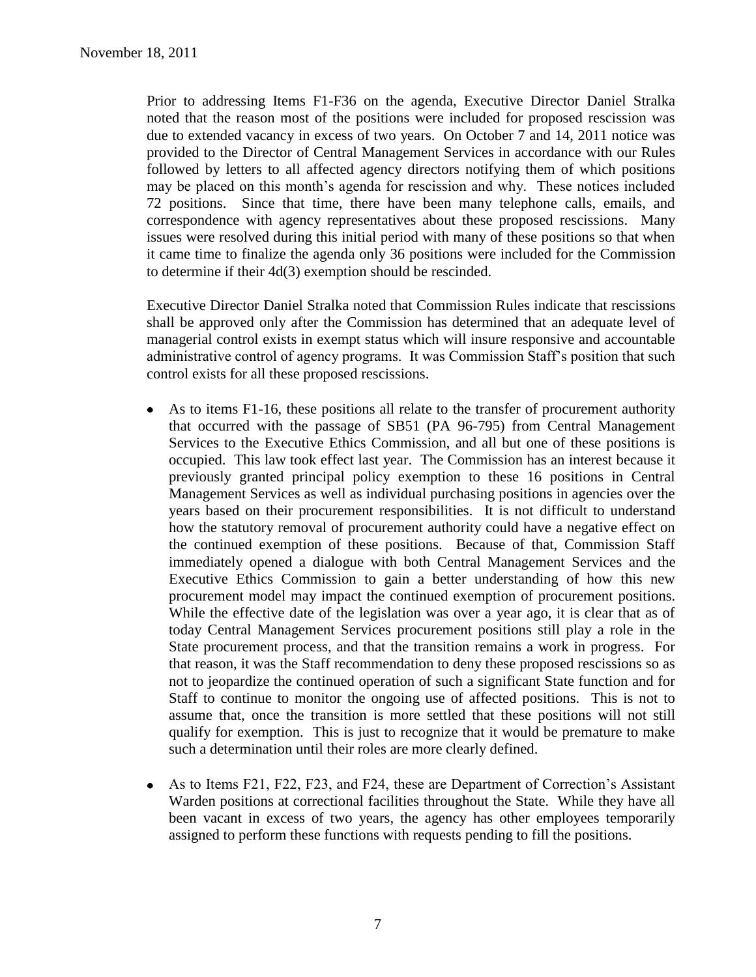Prior to addressing Items F1-F36 on the agenda, Executive Director Daniel Stralka noted that the reason most of the positions were included for proposed rescission was due to extended vacancy in excess of two years. On October 7 and 14, 2011 notice was provided to the Director of Central Management Services in accordance with our Rules followed by letters to all affected agency directors notifying them of which positions may be placed on this month's agenda for rescission and why. These notices included 72 positions. Since that time, there have been many telephone calls, emails, and correspondence with agency representatives about these proposed rescissions. Many issues were resolved during this initial period with many of these positions so that when it came time to finalize the agenda only 36 positions were included for the Commission to determine if their 4d(3) exemption should be rescinded.

Executive Director Daniel Stralka noted that Commission Rules indicate that rescissions shall be approved only after the Commission has determined that an adequate level of managerial control exists in exempt status which will insure responsive and accountable administrative control of agency programs. It was Commission Staff's position that such control exists for all these proposed rescissions.

- As to items F1-16, these positions all relate to the transfer of procurement authority  $\bullet$ that occurred with the passage of SB51 (PA 96-795) from Central Management Services to the Executive Ethics Commission, and all but one of these positions is occupied. This law took effect last year. The Commission has an interest because it previously granted principal policy exemption to these 16 positions in Central Management Services as well as individual purchasing positions in agencies over the years based on their procurement responsibilities. It is not difficult to understand how the statutory removal of procurement authority could have a negative effect on the continued exemption of these positions. Because of that, Commission Staff immediately opened a dialogue with both Central Management Services and the Executive Ethics Commission to gain a better understanding of how this new procurement model may impact the continued exemption of procurement positions. While the effective date of the legislation was over a year ago, it is clear that as of today Central Management Services procurement positions still play a role in the State procurement process, and that the transition remains a work in progress. For that reason, it was the Staff recommendation to deny these proposed rescissions so as not to jeopardize the continued operation of such a significant State function and for Staff to continue to monitor the ongoing use of affected positions. This is not to assume that, once the transition is more settled that these positions will not still qualify for exemption. This is just to recognize that it would be premature to make such a determination until their roles are more clearly defined.
- As to Items F21, F22, F23, and F24, these are Department of Correction's Assistant Warden positions at correctional facilities throughout the State. While they have all been vacant in excess of two years, the agency has other employees temporarily assigned to perform these functions with requests pending to fill the positions.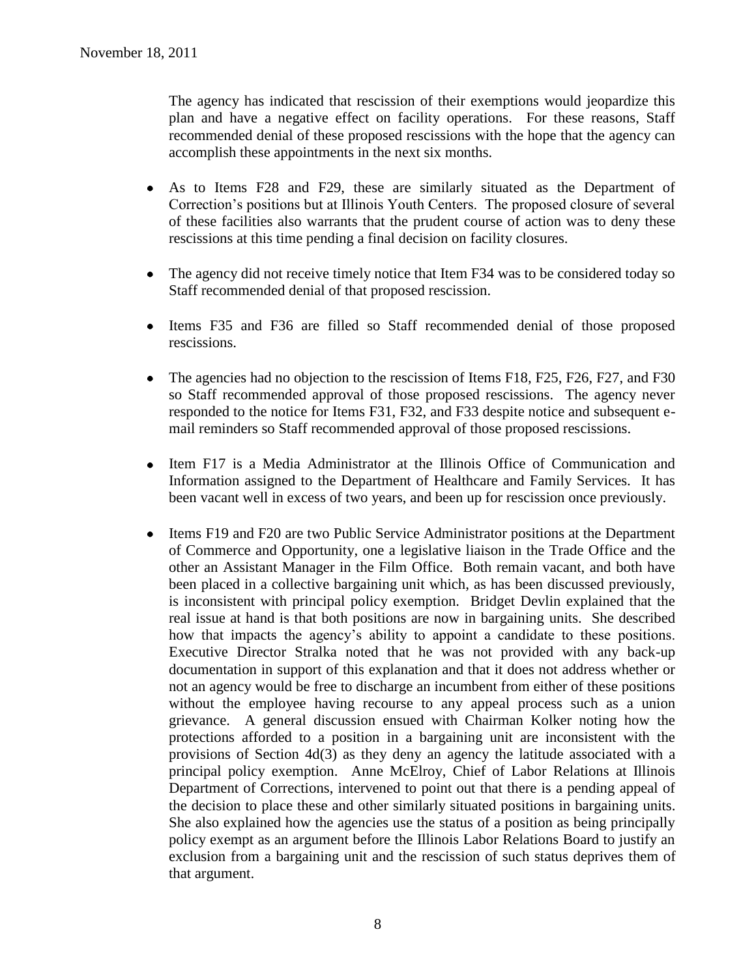The agency has indicated that rescission of their exemptions would jeopardize this plan and have a negative effect on facility operations. For these reasons, Staff recommended denial of these proposed rescissions with the hope that the agency can accomplish these appointments in the next six months.

- As to Items F28 and F29, these are similarly situated as the Department of  $\bullet$ Correction's positions but at Illinois Youth Centers. The proposed closure of several of these facilities also warrants that the prudent course of action was to deny these rescissions at this time pending a final decision on facility closures.
- The agency did not receive timely notice that Item F34 was to be considered today so  $\bullet$ Staff recommended denial of that proposed rescission.
- Items F35 and F36 are filled so Staff recommended denial of those proposed rescissions.
- The agencies had no objection to the rescission of Items F18, F25, F26, F27, and F30  $\bullet$ so Staff recommended approval of those proposed rescissions. The agency never responded to the notice for Items F31, F32, and F33 despite notice and subsequent email reminders so Staff recommended approval of those proposed rescissions.
- Item F17 is a Media Administrator at the Illinois Office of Communication and  $\bullet$ Information assigned to the Department of Healthcare and Family Services. It has been vacant well in excess of two years, and been up for rescission once previously.
- Items F19 and F20 are two Public Service Administrator positions at the Department  $\bullet$ of Commerce and Opportunity, one a legislative liaison in the Trade Office and the other an Assistant Manager in the Film Office. Both remain vacant, and both have been placed in a collective bargaining unit which, as has been discussed previously, is inconsistent with principal policy exemption. Bridget Devlin explained that the real issue at hand is that both positions are now in bargaining units. She described how that impacts the agency's ability to appoint a candidate to these positions. Executive Director Stralka noted that he was not provided with any back-up documentation in support of this explanation and that it does not address whether or not an agency would be free to discharge an incumbent from either of these positions without the employee having recourse to any appeal process such as a union grievance. A general discussion ensued with Chairman Kolker noting how the protections afforded to a position in a bargaining unit are inconsistent with the provisions of Section 4d(3) as they deny an agency the latitude associated with a principal policy exemption. Anne McElroy, Chief of Labor Relations at Illinois Department of Corrections, intervened to point out that there is a pending appeal of the decision to place these and other similarly situated positions in bargaining units. She also explained how the agencies use the status of a position as being principally policy exempt as an argument before the Illinois Labor Relations Board to justify an exclusion from a bargaining unit and the rescission of such status deprives them of that argument.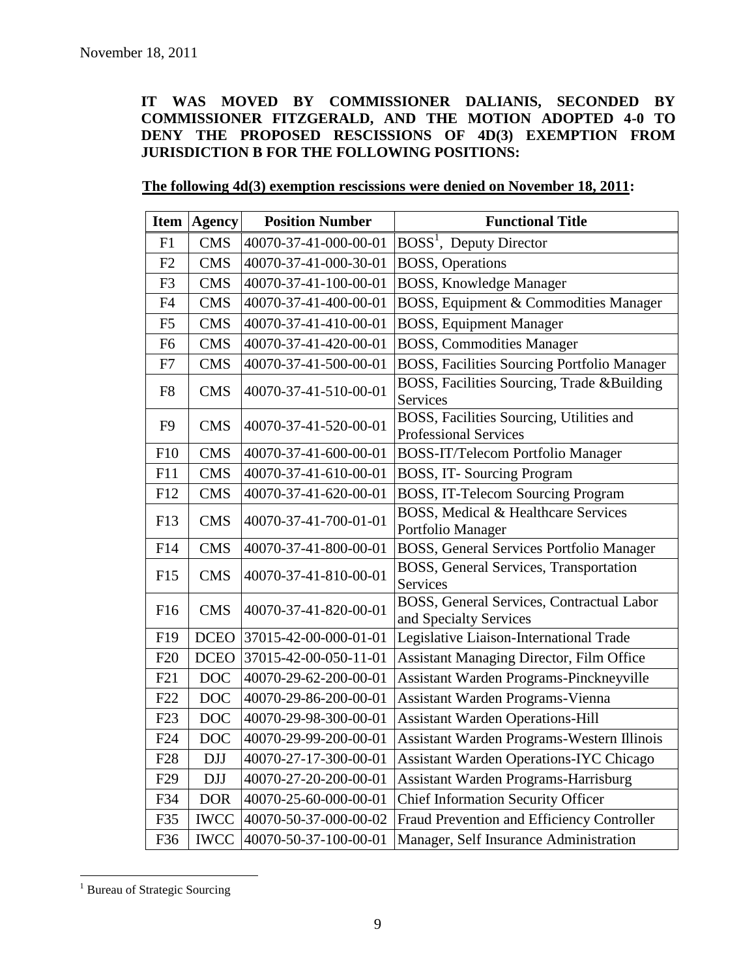**IT WAS MOVED BY COMMISSIONER DALIANIS, SECONDED BY COMMISSIONER FITZGERALD, AND THE MOTION ADOPTED 4-0 TO DENY THE PROPOSED RESCISSIONS OF 4D(3) EXEMPTION FROM JURISDICTION B FOR THE FOLLOWING POSITIONS:**

| Item            | <b>Agency</b> | <b>Position Number</b> | <b>Functional Title</b>                                                  |
|-----------------|---------------|------------------------|--------------------------------------------------------------------------|
| F1              | <b>CMS</b>    | 40070-37-41-000-00-01  | BOSS <sup>1</sup> , Deputy Director                                      |
| F2              | <b>CMS</b>    | 40070-37-41-000-30-01  | <b>BOSS</b> , Operations                                                 |
| F <sub>3</sub>  | <b>CMS</b>    | 40070-37-41-100-00-01  | <b>BOSS, Knowledge Manager</b>                                           |
| F4              | <b>CMS</b>    | 40070-37-41-400-00-01  | BOSS, Equipment & Commodities Manager                                    |
| F <sub>5</sub>  | <b>CMS</b>    | 40070-37-41-410-00-01  | <b>BOSS, Equipment Manager</b>                                           |
| F <sub>6</sub>  | <b>CMS</b>    | 40070-37-41-420-00-01  | <b>BOSS, Commodities Manager</b>                                         |
| F7              | <b>CMS</b>    | 40070-37-41-500-00-01  | <b>BOSS, Facilities Sourcing Portfolio Manager</b>                       |
| F <sub>8</sub>  | <b>CMS</b>    | 40070-37-41-510-00-01  | BOSS, Facilities Sourcing, Trade &Building<br>Services                   |
| F <sub>9</sub>  | <b>CMS</b>    | 40070-37-41-520-00-01  | BOSS, Facilities Sourcing, Utilities and<br><b>Professional Services</b> |
| F10             | <b>CMS</b>    | 40070-37-41-600-00-01  | <b>BOSS-IT/Telecom Portfolio Manager</b>                                 |
| F11             | <b>CMS</b>    | 40070-37-41-610-00-01  | BOSS, IT-Sourcing Program                                                |
| F12             | <b>CMS</b>    | 40070-37-41-620-00-01  | <b>BOSS, IT-Telecom Sourcing Program</b>                                 |
| F13             | <b>CMS</b>    | 40070-37-41-700-01-01  | BOSS, Medical & Healthcare Services<br>Portfolio Manager                 |
| F14             | <b>CMS</b>    | 40070-37-41-800-00-01  | <b>BOSS, General Services Portfolio Manager</b>                          |
| F15             | <b>CMS</b>    | 40070-37-41-810-00-01  | BOSS, General Services, Transportation<br>Services                       |
| F16             | <b>CMS</b>    | 40070-37-41-820-00-01  | BOSS, General Services, Contractual Labor<br>and Specialty Services      |
| F19             | <b>DCEO</b>   | 37015-42-00-000-01-01  | Legislative Liaison-International Trade                                  |
| F20             | <b>DCEO</b>   | 37015-42-00-050-11-01  | Assistant Managing Director, Film Office                                 |
| F21             | <b>DOC</b>    | 40070-29-62-200-00-01  | Assistant Warden Programs-Pinckneyville                                  |
| F22             | <b>DOC</b>    | 40070-29-86-200-00-01  | Assistant Warden Programs-Vienna                                         |
| F23             | <b>DOC</b>    | 40070-29-98-300-00-01  | <b>Assistant Warden Operations-Hill</b>                                  |
| F24             | <b>DOC</b>    | 40070-29-99-200-00-01  | Assistant Warden Programs-Western Illinois                               |
| F <sub>28</sub> | <b>DJJ</b>    | 40070-27-17-300-00-01  | <b>Assistant Warden Operations-IYC Chicago</b>                           |
| F <sub>29</sub> | <b>DJJ</b>    | 40070-27-20-200-00-01  | Assistant Warden Programs-Harrisburg                                     |
| F34             | <b>DOR</b>    | 40070-25-60-000-00-01  | <b>Chief Information Security Officer</b>                                |
| F35             | <b>IWCC</b>   | 40070-50-37-000-00-02  | Fraud Prevention and Efficiency Controller                               |
| F36             | <b>IWCC</b>   | 40070-50-37-100-00-01  | Manager, Self Insurance Administration                                   |

<sup>&</sup>lt;sup>1</sup> Bureau of Strategic Sourcing

 $\overline{a}$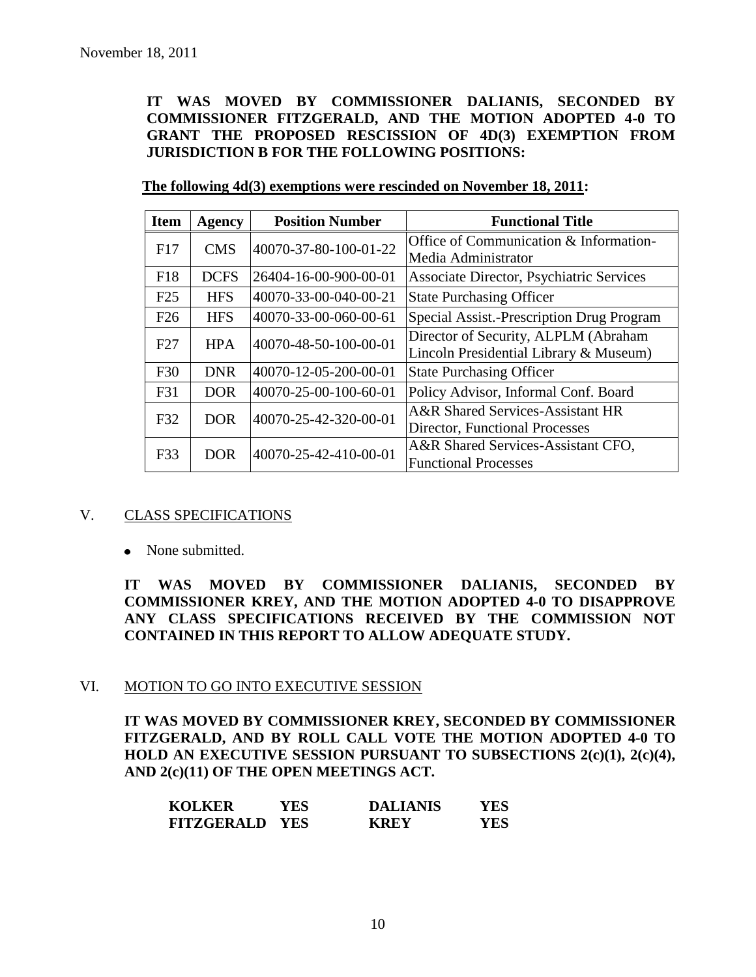**IT WAS MOVED BY COMMISSIONER DALIANIS, SECONDED BY COMMISSIONER FITZGERALD, AND THE MOTION ADOPTED 4-0 TO GRANT THE PROPOSED RESCISSION OF 4D(3) EXEMPTION FROM JURISDICTION B FOR THE FOLLOWING POSITIONS:**

| <b>Item</b> | <b>Agency</b> | <b>Position Number</b> | <b>Functional Title</b>                                                        |
|-------------|---------------|------------------------|--------------------------------------------------------------------------------|
| F17         | <b>CMS</b>    | 40070-37-80-100-01-22  | Office of Communication & Information-<br>Media Administrator                  |
| F18         | <b>DCFS</b>   | 26404-16-00-900-00-01  | <b>Associate Director, Psychiatric Services</b>                                |
| F25         | <b>HFS</b>    | 40070-33-00-040-00-21  | <b>State Purchasing Officer</b>                                                |
| F26         | <b>HFS</b>    | 40070-33-00-060-00-61  | Special Assist.-Prescription Drug Program                                      |
| F27         | <b>HPA</b>    | 40070-48-50-100-00-01  | Director of Security, ALPLM (Abraham<br>Lincoln Presidential Library & Museum) |
| F30         | <b>DNR</b>    | 40070-12-05-200-00-01  | <b>State Purchasing Officer</b>                                                |
| F31         | <b>DOR</b>    | 40070-25-00-100-60-01  | Policy Advisor, Informal Conf. Board                                           |
| F32         | DOR.          | 40070-25-42-320-00-01  | A&R Shared Services-Assistant HR<br>Director, Functional Processes             |
| F33         | <b>DOR</b>    | 40070-25-42-410-00-01  | A&R Shared Services-Assistant CFO,<br><b>Functional Processes</b>              |

## V. CLASS SPECIFICATIONS

• None submitted.

**IT WAS MOVED BY COMMISSIONER DALIANIS, SECONDED BY COMMISSIONER KREY, AND THE MOTION ADOPTED 4-0 TO DISAPPROVE ANY CLASS SPECIFICATIONS RECEIVED BY THE COMMISSION NOT CONTAINED IN THIS REPORT TO ALLOW ADEQUATE STUDY.** 

### VI. MOTION TO GO INTO EXECUTIVE SESSION

**IT WAS MOVED BY COMMISSIONER KREY, SECONDED BY COMMISSIONER FITZGERALD, AND BY ROLL CALL VOTE THE MOTION ADOPTED 4-0 TO HOLD AN EXECUTIVE SESSION PURSUANT TO SUBSECTIONS 2(c)(1), 2(c)(4), AND 2(c)(11) OF THE OPEN MEETINGS ACT.** 

| <b>KOLKER</b>         | YES | <b>DALIANIS</b> | YES |
|-----------------------|-----|-----------------|-----|
| <b>FITZGERALD YES</b> |     | <b>KREY</b>     | YES |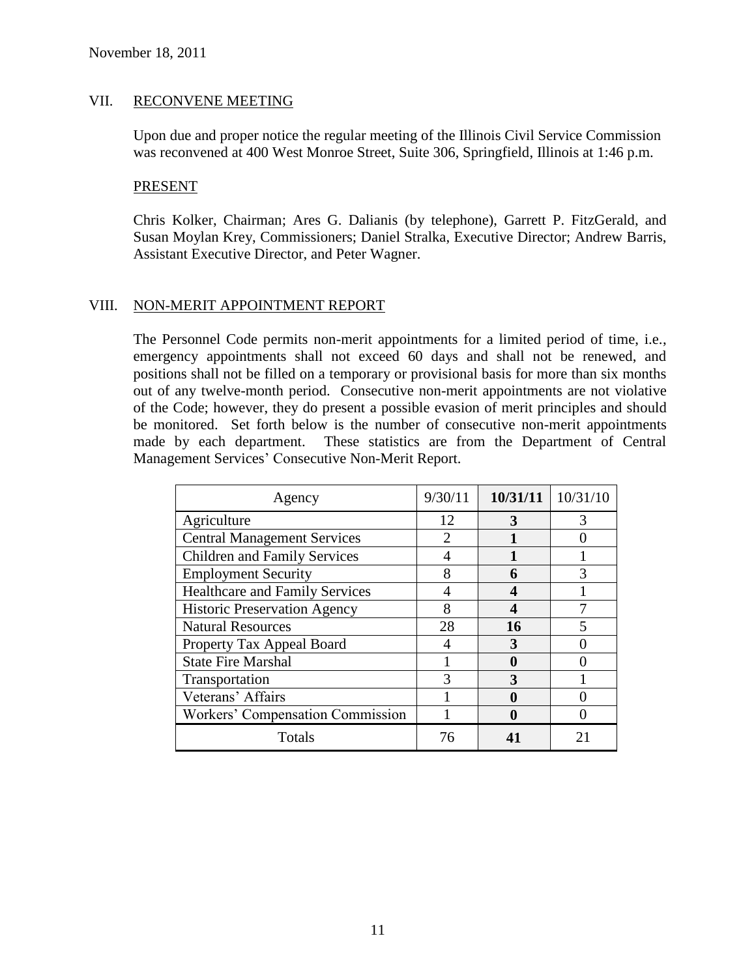### VII. RECONVENE MEETING

Upon due and proper notice the regular meeting of the Illinois Civil Service Commission was reconvened at 400 West Monroe Street, Suite 306, Springfield, Illinois at 1:46 p.m.

#### **PRESENT**

Chris Kolker, Chairman; Ares G. Dalianis (by telephone), Garrett P. FitzGerald, and Susan Moylan Krey, Commissioners; Daniel Stralka, Executive Director; Andrew Barris, Assistant Executive Director, and Peter Wagner.

### VIII. NON-MERIT APPOINTMENT REPORT

The Personnel Code permits non-merit appointments for a limited period of time, i.e., emergency appointments shall not exceed 60 days and shall not be renewed, and positions shall not be filled on a temporary or provisional basis for more than six months out of any twelve-month period. Consecutive non-merit appointments are not violative of the Code; however, they do present a possible evasion of merit principles and should be monitored. Set forth below is the number of consecutive non-merit appointments made by each department. These statistics are from the Department of Central Management Services' Consecutive Non-Merit Report.

| Agency                              | 9/30/11                     | 10/31/11 | 10/31/10 |
|-------------------------------------|-----------------------------|----------|----------|
| Agriculture                         | 12                          | 3        | 3        |
| <b>Central Management Services</b>  | $\mathcal{D}_{\mathcal{L}}$ |          |          |
| <b>Children and Family Services</b> | 4                           |          |          |
| <b>Employment Security</b>          | 8                           | 6        |          |
| Healthcare and Family Services      | 4                           |          |          |
| <b>Historic Preservation Agency</b> | 8                           |          |          |
| <b>Natural Resources</b>            | 28                          | 16       |          |
| Property Tax Appeal Board           | 4                           | 3        |          |
| <b>State Fire Marshal</b>           |                             |          |          |
| Transportation                      | 3                           | 3        |          |
| Veterans' Affairs                   |                             |          |          |
| Workers' Compensation Commission    |                             |          |          |
| Totals                              | 76                          |          |          |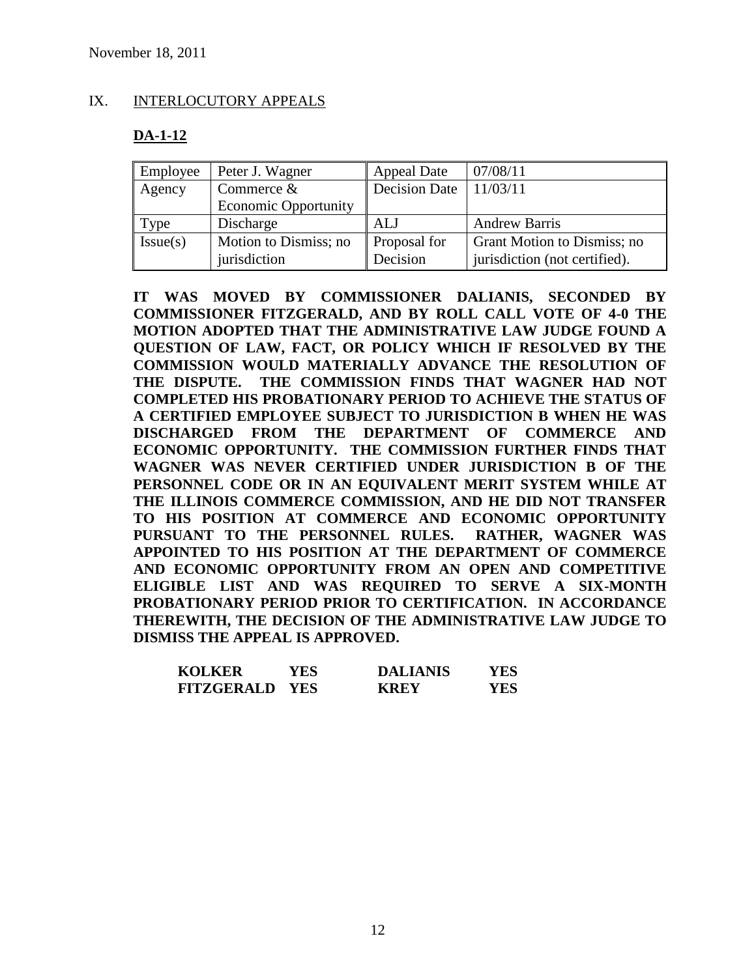## IX. INTERLOCUTORY APPEALS

# **DA-1-12**

| Employee | Peter J. Wagner                       | <b>Appeal Date</b>       | 07/08/11                                                     |
|----------|---------------------------------------|--------------------------|--------------------------------------------------------------|
| Agency   | Commerce $&$                          | Decision Date            | 11/03/11                                                     |
|          | <b>Economic Opportunity</b>           |                          |                                                              |
| Type     | Discharge                             | ALJ                      | <b>Andrew Barris</b>                                         |
| Issue(s) | Motion to Dismiss; no<br>jurisdiction | Proposal for<br>Decision | Grant Motion to Dismiss; no<br>jurisdiction (not certified). |

**IT WAS MOVED BY COMMISSIONER DALIANIS, SECONDED BY COMMISSIONER FITZGERALD, AND BY ROLL CALL VOTE OF 4-0 THE MOTION ADOPTED THAT THE ADMINISTRATIVE LAW JUDGE FOUND A QUESTION OF LAW, FACT, OR POLICY WHICH IF RESOLVED BY THE COMMISSION WOULD MATERIALLY ADVANCE THE RESOLUTION OF THE DISPUTE. THE COMMISSION FINDS THAT WAGNER HAD NOT COMPLETED HIS PROBATIONARY PERIOD TO ACHIEVE THE STATUS OF A CERTIFIED EMPLOYEE SUBJECT TO JURISDICTION B WHEN HE WAS DISCHARGED FROM THE DEPARTMENT OF COMMERCE AND ECONOMIC OPPORTUNITY. THE COMMISSION FURTHER FINDS THAT WAGNER WAS NEVER CERTIFIED UNDER JURISDICTION B OF THE PERSONNEL CODE OR IN AN EQUIVALENT MERIT SYSTEM WHILE AT THE ILLINOIS COMMERCE COMMISSION, AND HE DID NOT TRANSFER TO HIS POSITION AT COMMERCE AND ECONOMIC OPPORTUNITY PURSUANT TO THE PERSONNEL RULES. RATHER, WAGNER WAS APPOINTED TO HIS POSITION AT THE DEPARTMENT OF COMMERCE AND ECONOMIC OPPORTUNITY FROM AN OPEN AND COMPETITIVE ELIGIBLE LIST AND WAS REQUIRED TO SERVE A SIX-MONTH PROBATIONARY PERIOD PRIOR TO CERTIFICATION. IN ACCORDANCE THEREWITH, THE DECISION OF THE ADMINISTRATIVE LAW JUDGE TO DISMISS THE APPEAL IS APPROVED.**

| <b>KOLKER</b>         | YES. | <b>DALIANIS</b> | YES |
|-----------------------|------|-----------------|-----|
| <b>FITZGERALD YES</b> |      | <b>KREY</b>     | YES |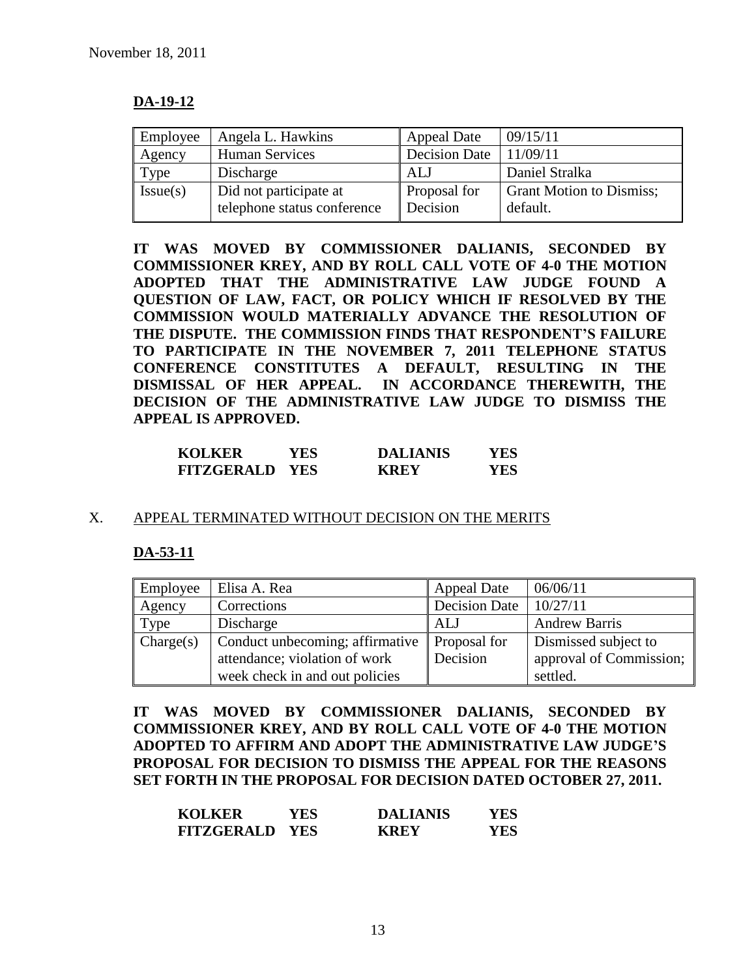# **DA-19-12**

| Employee | Angela L. Hawkins           | <b>Appeal Date</b>   | 09/15/11                        |
|----------|-----------------------------|----------------------|---------------------------------|
| Agency   | <b>Human Services</b>       | <b>Decision Date</b> | 11/09/11                        |
| Type     | Discharge                   | ALJ                  | Daniel Stralka                  |
| Issue(s) | Did not participate at      | Proposal for         | <b>Grant Motion to Dismiss;</b> |
|          | telephone status conference | Decision             | default.                        |

**IT WAS MOVED BY COMMISSIONER DALIANIS, SECONDED BY COMMISSIONER KREY, AND BY ROLL CALL VOTE OF 4-0 THE MOTION ADOPTED THAT THE ADMINISTRATIVE LAW JUDGE FOUND A QUESTION OF LAW, FACT, OR POLICY WHICH IF RESOLVED BY THE COMMISSION WOULD MATERIALLY ADVANCE THE RESOLUTION OF THE DISPUTE. THE COMMISSION FINDS THAT RESPONDENT'S FAILURE TO PARTICIPATE IN THE NOVEMBER 7, 2011 TELEPHONE STATUS CONFERENCE CONSTITUTES A DEFAULT, RESULTING IN THE DISMISSAL OF HER APPEAL. IN ACCORDANCE THEREWITH, THE DECISION OF THE ADMINISTRATIVE LAW JUDGE TO DISMISS THE APPEAL IS APPROVED.**

| <b>KOLKER</b>         | YES. | <b>DALIANIS</b> | YES. |
|-----------------------|------|-----------------|------|
| <b>FITZGERALD YES</b> |      | <b>KREY</b>     | YES. |

### X. APPEAL TERMINATED WITHOUT DECISION ON THE MERITS

## **DA-53-11**

| Employee  | Elisa A. Rea                    | <b>Appeal Date</b>  | 06/06/11                |
|-----------|---------------------------------|---------------------|-------------------------|
| Agency    | Corrections                     | Decision Date       | 10/27/11                |
| Type      | Discharge                       | ALJ                 | <b>Andrew Barris</b>    |
| Change(s) | Conduct unbecoming; affirmative | <b>Proposal</b> for | Dismissed subject to    |
|           | attendance; violation of work   | Decision            | approval of Commission; |
|           | week check in and out policies  |                     | settled.                |

**IT WAS MOVED BY COMMISSIONER DALIANIS, SECONDED BY COMMISSIONER KREY, AND BY ROLL CALL VOTE OF 4-0 THE MOTION ADOPTED TO AFFIRM AND ADOPT THE ADMINISTRATIVE LAW JUDGE'S PROPOSAL FOR DECISION TO DISMISS THE APPEAL FOR THE REASONS SET FORTH IN THE PROPOSAL FOR DECISION DATED OCTOBER 27, 2011.**

| <b>KOLKER</b>         | YES | <b>DALIANIS</b> | YES |
|-----------------------|-----|-----------------|-----|
| <b>FITZGERALD YES</b> |     | <b>KREY</b>     | YES |